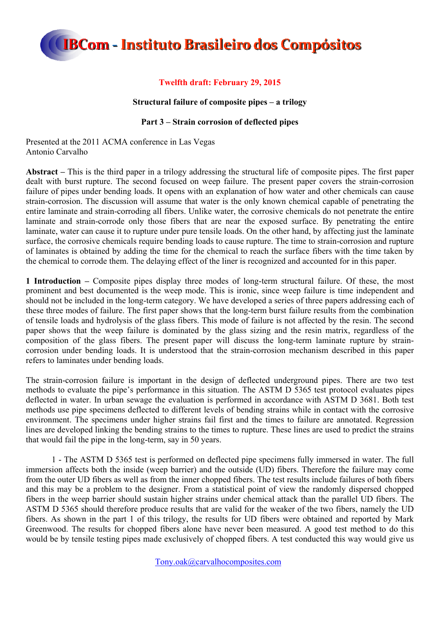#### **Twelfth draft: February 29, 2015**

#### **Structural failure of composite pipes – a trilogy**

#### **Part 3 – Strain corrosion of deflected pipes**

Presented at the 2011 ACMA conference in Las Vegas Antonio Carvalho

**Abstract –** This is the third paper in a trilogy addressing the structural life of composite pipes. The first paper dealt with burst rupture. The second focused on weep failure. The present paper covers the strain-corrosion failure of pipes under bending loads. It opens with an explanation of how water and other chemicals can cause strain-corrosion. The discussion will assume that water is the only known chemical capable of penetrating the entire laminate and strain-corroding all fibers. Unlike water, the corrosive chemicals do not penetrate the entire laminate and strain-corrode only those fibers that are near the exposed surface. By penetrating the entire laminate, water can cause it to rupture under pure tensile loads. On the other hand, by affecting just the laminate surface, the corrosive chemicals require bending loads to cause rupture. The time to strain-corrosion and rupture of laminates is obtained by adding the time for the chemical to reach the surface fibers with the time taken by the chemical to corrode them. The delaying effect of the liner is recognized and accounted for in this paper.

**1 Introduction –** Composite pipes display three modes of long-term structural failure. Of these, the most prominent and best documented is the weep mode. This is ironic, since weep failure is time independent and should not be included in the long-term category. We have developed a series of three papers addressing each of these three modes of failure. The first paper shows that the long-term burst failure results from the combination of tensile loads and hydrolysis of the glass fibers. This mode of failure is not affected by the resin. The second paper shows that the weep failure is dominated by the glass sizing and the resin matrix, regardless of the composition of the glass fibers. The present paper will discuss the long-term laminate rupture by straincorrosion under bending loads. It is understood that the strain-corrosion mechanism described in this paper refers to laminates under bending loads.

The strain-corrosion failure is important in the design of deflected underground pipes. There are two test methods to evaluate the pipe's performance in this situation. The ASTM D 5365 test protocol evaluates pipes deflected in water. In urban sewage the evaluation is performed in accordance with ASTM D 3681. Both test methods use pipe specimens deflected to different levels of bending strains while in contact with the corrosive environment. The specimens under higher strains fail first and the times to failure are annotated. Regression lines are developed linking the bending strains to the times to rupture. These lines are used to predict the strains that would fail the pipe in the long-term, say in 50 years.

1 - The ASTM D 5365 test is performed on deflected pipe specimens fully immersed in water. The full immersion affects both the inside (weep barrier) and the outside (UD) fibers. Therefore the failure may come from the outer UD fibers as well as from the inner chopped fibers. The test results include failures of both fibers and this may be a problem to the designer. From a statistical point of view the randomly dispersed chopped fibers in the weep barrier should sustain higher strains under chemical attack than the parallel UD fibers. The ASTM D 5365 should therefore produce results that are valid for the weaker of the two fibers, namely the UD fibers. As shown in the part 1 of this trilogy, the results for UD fibers were obtained and reported by Mark Greenwood. The results for chopped fibers alone have never been measured. A good test method to do this would be by tensile testing pipes made exclusively of chopped fibers. A test conducted this way would give us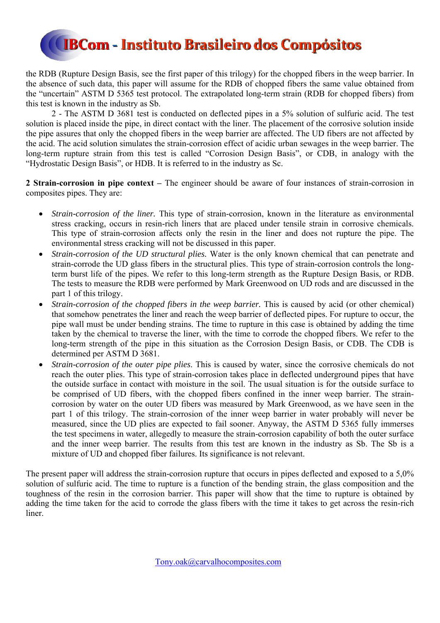the RDB (Rupture Design Basis, see the first paper of this trilogy) for the chopped fibers in the weep barrier. In the absence of such data, this paper will assume for the RDB of chopped fibers the same value obtained from the "uncertain" ASTM D 5365 test protocol. The extrapolated long-term strain (RDB for chopped fibers) from this test is known in the industry as Sb.

2 - The ASTM D 3681 test is conducted on deflected pipes in a 5% solution of sulfuric acid. The test solution is placed inside the pipe, in direct contact with the liner. The placement of the corrosive solution inside the pipe assures that only the chopped fibers in the weep barrier are affected. The UD fibers are not affected by the acid. The acid solution simulates the strain-corrosion effect of acidic urban sewages in the weep barrier. The long-term rupture strain from this test is called "Corrosion Design Basis", or CDB, in analogy with the "Hydrostatic Design Basis", or HDB. It is referred to in the industry as Sc.

**2 Strain-corrosion in pipe context –** The engineer should be aware of four instances of strain-corrosion in composites pipes. They are:

- *Strain-corrosion of the liner.* This type of strain-corrosion, known in the literature as environmental stress cracking, occurs in resin-rich liners that are placed under tensile strain in corrosive chemicals. This type of strain-corrosion affects only the resin in the liner and does not rupture the pipe. The environmental stress cracking will not be discussed in this paper.
- *Strain-corrosion of the UD structural plies.* Water is the only known chemical that can penetrate and strain-corrode the UD glass fibers in the structural plies. This type of strain-corrosion controls the longterm burst life of the pipes. We refer to this long-term strength as the Rupture Design Basis, or RDB. The tests to measure the RDB were performed by Mark Greenwood on UD rods and are discussed in the part 1 of this trilogy.
- *Strain-corrosion of the chopped fibers in the weep barrier.* This is caused by acid (or other chemical) that somehow penetrates the liner and reach the weep barrier of deflected pipes. For rupture to occur, the pipe wall must be under bending strains. The time to rupture in this case is obtained by adding the time taken by the chemical to traverse the liner, with the time to corrode the chopped fibers. We refer to the long-term strength of the pipe in this situation as the Corrosion Design Basis, or CDB. The CDB is determined per ASTM D 3681.
- *Strain-corrosion of the outer pipe plies*. This is caused by water, since the corrosive chemicals do not reach the outer plies. This type of strain-corrosion takes place in deflected underground pipes that have the outside surface in contact with moisture in the soil. The usual situation is for the outside surface to be comprised of UD fibers, with the chopped fibers confined in the inner weep barrier. The straincorrosion by water on the outer UD fibers was measured by Mark Greenwood, as we have seen in the part 1 of this trilogy. The strain-corrosion of the inner weep barrier in water probably will never be measured, since the UD plies are expected to fail sooner. Anyway, the ASTM D 5365 fully immerses the test specimens in water, allegedly to measure the strain-corrosion capability of both the outer surface and the inner weep barrier. The results from this test are known in the industry as Sb. The Sb is a mixture of UD and chopped fiber failures. Its significance is not relevant.

The present paper will address the strain-corrosion rupture that occurs in pipes deflected and exposed to a 5,0% solution of sulfuric acid. The time to rupture is a function of the bending strain, the glass composition and the toughness of the resin in the corrosion barrier. This paper will show that the time to rupture is obtained by adding the time taken for the acid to corrode the glass fibers with the time it takes to get across the resin-rich liner.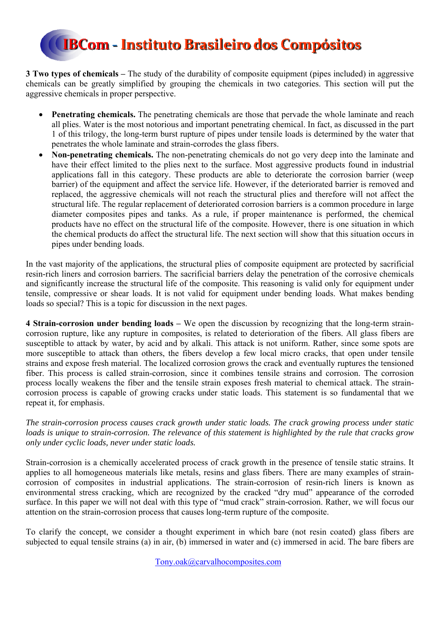**3 Two types of chemicals –** The study of the durability of composite equipment (pipes included) in aggressive chemicals can be greatly simplified by grouping the chemicals in two categories. This section will put the aggressive chemicals in proper perspective.

- **Penetrating chemicals.** The penetrating chemicals are those that pervade the whole laminate and reach all plies. Water is the most notorious and important penetrating chemical. In fact, as discussed in the part 1 of this trilogy, the long-term burst rupture of pipes under tensile loads is determined by the water that penetrates the whole laminate and strain-corrodes the glass fibers.
- **Non-penetrating chemicals.** The non-penetrating chemicals do not go very deep into the laminate and have their effect limited to the plies next to the surface. Most aggressive products found in industrial applications fall in this category. These products are able to deteriorate the corrosion barrier (weep barrier) of the equipment and affect the service life. However, if the deteriorated barrier is removed and replaced, the aggressive chemicals will not reach the structural plies and therefore will not affect the structural life. The regular replacement of deteriorated corrosion barriers is a common procedure in large diameter composites pipes and tanks. As a rule, if proper maintenance is performed, the chemical products have no effect on the structural life of the composite. However, there is one situation in which the chemical products do affect the structural life. The next section will show that this situation occurs in pipes under bending loads.

In the vast majority of the applications, the structural plies of composite equipment are protected by sacrificial resin-rich liners and corrosion barriers. The sacrificial barriers delay the penetration of the corrosive chemicals and significantly increase the structural life of the composite. This reasoning is valid only for equipment under tensile, compressive or shear loads. It is not valid for equipment under bending loads. What makes bending loads so special? This is a topic for discussion in the next pages.

**4 Strain-corrosion under bending loads –** We open the discussion by recognizing that the long-term straincorrosion rupture, like any rupture in composites, is related to deterioration of the fibers. All glass fibers are susceptible to attack by water, by acid and by alkali. This attack is not uniform. Rather, since some spots are more susceptible to attack than others, the fibers develop a few local micro cracks, that open under tensile strains and expose fresh material. The localized corrosion grows the crack and eventually ruptures the tensioned fiber. This process is called strain-corrosion, since it combines tensile strains and corrosion. The corrosion process locally weakens the fiber and the tensile strain exposes fresh material to chemical attack. The straincorrosion process is capable of growing cracks under static loads. This statement is so fundamental that we repeat it, for emphasis.

*The strain-corrosion process causes crack growth under static loads. The crack growing process under static loads is unique to strain-corrosion. The relevance of this statement is highlighted by the rule that cracks grow only under cyclic loads, never under static loads.* 

Strain-corrosion is a chemically accelerated process of crack growth in the presence of tensile static strains. It applies to all homogeneous materials like metals, resins and glass fibers. There are many examples of straincorrosion of composites in industrial applications. The strain-corrosion of resin-rich liners is known as environmental stress cracking, which are recognized by the cracked "dry mud" appearance of the corroded surface. In this paper we will not deal with this type of "mud crack" strain-corrosion. Rather, we will focus our attention on the strain-corrosion process that causes long-term rupture of the composite.

To clarify the concept, we consider a thought experiment in which bare (not resin coated) glass fibers are subjected to equal tensile strains (a) in air, (b) immersed in water and (c) immersed in acid. The bare fibers are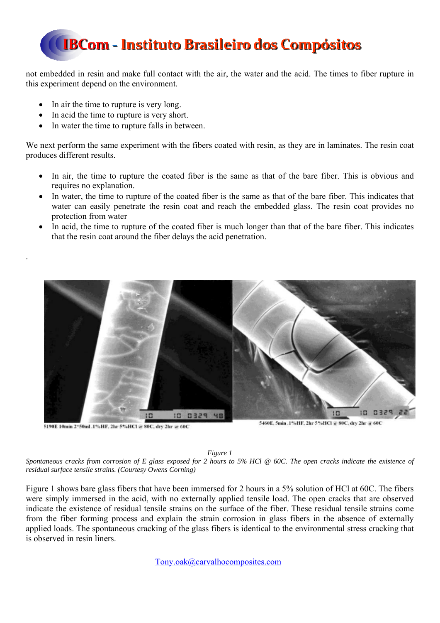

not embedded in resin and make full contact with the air, the water and the acid. The times to fiber rupture in this experiment depend on the environment.

In air the time to rupture is very long.

.

- In acid the time to rupture is very short.
- In water the time to rupture falls in between.

We next perform the same experiment with the fibers coated with resin, as they are in laminates. The resin coat produces different results.

- In air, the time to rupture the coated fiber is the same as that of the bare fiber. This is obvious and requires no explanation.
- In water, the time to rupture of the coated fiber is the same as that of the bare fiber. This indicates that water can easily penetrate the resin coat and reach the embedded glass. The resin coat provides no protection from water
- In acid, the time to rupture of the coated fiber is much longer than that of the bare fiber. This indicates that the resin coat around the fiber delays the acid penetration.



5190E 10min 2\*50ml .1%HF, 2hr 5%HCl @ 80C, dry 2hr @ 60C

*Figure 1* 

*Spontaneous cracks from corrosion of E glass exposed for 2 hours to 5% HCl @ 60C. The open cracks indicate the existence of residual surface tensile strains. (Courtesy Owens Corning)* 

Figure 1 shows bare glass fibers that have been immersed for 2 hours in a 5% solution of HCl at 60C. The fibers were simply immersed in the acid, with no externally applied tensile load. The open cracks that are observed indicate the existence of residual tensile strains on the surface of the fiber. These residual tensile strains come from the fiber forming process and explain the strain corrosion in glass fibers in the absence of externally applied loads. The spontaneous cracking of the glass fibers is identical to the environmental stress cracking that is observed in resin liners.

<sup>5460</sup>E, 5min .1%HF, 2hr 5%HCl @ 80C, dry 2hr @ 60C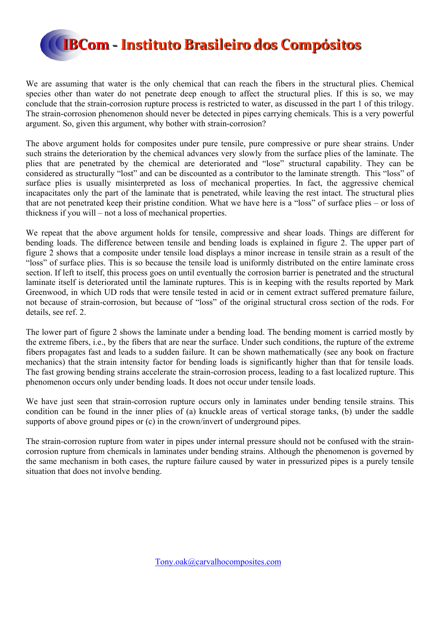

We are assuming that water is the only chemical that can reach the fibers in the structural plies. Chemical species other than water do not penetrate deep enough to affect the structural plies. If this is so, we may conclude that the strain-corrosion rupture process is restricted to water, as discussed in the part 1 of this trilogy. The strain-corrosion phenomenon should never be detected in pipes carrying chemicals. This is a very powerful argument. So, given this argument, why bother with strain-corrosion?

The above argument holds for composites under pure tensile, pure compressive or pure shear strains. Under such strains the deterioration by the chemical advances very slowly from the surface plies of the laminate. The plies that are penetrated by the chemical are deteriorated and "lose" structural capability. They can be considered as structurally "lost" and can be discounted as a contributor to the laminate strength. This "loss" of surface plies is usually misinterpreted as loss of mechanical properties. In fact, the aggressive chemical incapacitates only the part of the laminate that is penetrated, while leaving the rest intact. The structural plies that are not penetrated keep their pristine condition. What we have here is a "loss" of surface plies – or loss of thickness if you will – not a loss of mechanical properties.

We repeat that the above argument holds for tensile, compressive and shear loads. Things are different for bending loads. The difference between tensile and bending loads is explained in figure 2. The upper part of figure 2 shows that a composite under tensile load displays a minor increase in tensile strain as a result of the "loss" of surface plies. This is so because the tensile load is uniformly distributed on the entire laminate cross section. If left to itself, this process goes on until eventually the corrosion barrier is penetrated and the structural laminate itself is deteriorated until the laminate ruptures. This is in keeping with the results reported by Mark Greenwood, in which UD rods that were tensile tested in acid or in cement extract suffered premature failure, not because of strain-corrosion, but because of "loss" of the original structural cross section of the rods. For details, see ref. 2.

The lower part of figure 2 shows the laminate under a bending load. The bending moment is carried mostly by the extreme fibers, i.e., by the fibers that are near the surface. Under such conditions, the rupture of the extreme fibers propagates fast and leads to a sudden failure. It can be shown mathematically (see any book on fracture mechanics) that the strain intensity factor for bending loads is significantly higher than that for tensile loads. The fast growing bending strains accelerate the strain-corrosion process, leading to a fast localized rupture. This phenomenon occurs only under bending loads. It does not occur under tensile loads.

We have just seen that strain-corrosion rupture occurs only in laminates under bending tensile strains. This condition can be found in the inner plies of (a) knuckle areas of vertical storage tanks, (b) under the saddle supports of above ground pipes or (c) in the crown/invert of underground pipes.

The strain-corrosion rupture from water in pipes under internal pressure should not be confused with the straincorrosion rupture from chemicals in laminates under bending strains. Although the phenomenon is governed by the same mechanism in both cases, the rupture failure caused by water in pressurized pipes is a purely tensile situation that does not involve bending.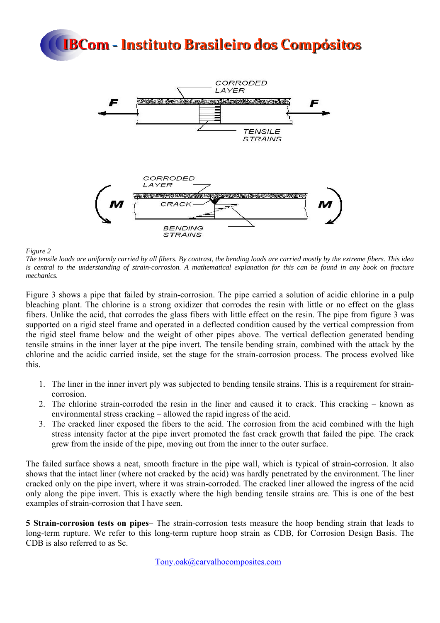



*Figure 2* 

*The tensile loads are uniformly carried by all fibers. By contrast, the bending loads are carried mostly by the extreme fibers. This idea*  is central to the understanding of strain-corrosion. A mathematical explanation for this can be found in any book on fracture *mechanics.* 

Figure 3 shows a pipe that failed by strain-corrosion. The pipe carried a solution of acidic chlorine in a pulp bleaching plant. The chlorine is a strong oxidizer that corrodes the resin with little or no effect on the glass fibers. Unlike the acid, that corrodes the glass fibers with little effect on the resin. The pipe from figure 3 was supported on a rigid steel frame and operated in a deflected condition caused by the vertical compression from the rigid steel frame below and the weight of other pipes above. The vertical deflection generated bending tensile strains in the inner layer at the pipe invert. The tensile bending strain, combined with the attack by the chlorine and the acidic carried inside, set the stage for the strain-corrosion process. The process evolved like this.

- 1. The liner in the inner invert ply was subjected to bending tensile strains. This is a requirement for straincorrosion.
- 2. The chlorine strain-corroded the resin in the liner and caused it to crack. This cracking known as environmental stress cracking – allowed the rapid ingress of the acid.
- 3. The cracked liner exposed the fibers to the acid. The corrosion from the acid combined with the high stress intensity factor at the pipe invert promoted the fast crack growth that failed the pipe. The crack grew from the inside of the pipe, moving out from the inner to the outer surface.

The failed surface shows a neat, smooth fracture in the pipe wall, which is typical of strain-corrosion. It also shows that the intact liner (where not cracked by the acid) was hardly penetrated by the environment. The liner cracked only on the pipe invert, where it was strain-corroded. The cracked liner allowed the ingress of the acid only along the pipe invert. This is exactly where the high bending tensile strains are. This is one of the best examples of strain-corrosion that I have seen.

**5 Strain-corrosion tests on pipes–** The strain-corrosion tests measure the hoop bending strain that leads to long-term rupture. We refer to this long-term rupture hoop strain as CDB, for Corrosion Design Basis. The CDB is also referred to as Sc.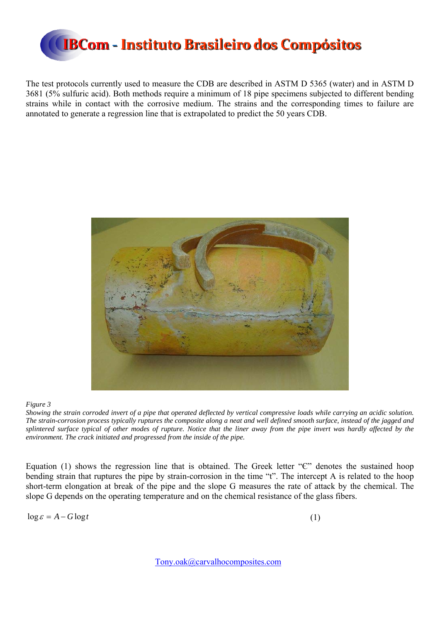

The test protocols currently used to measure the CDB are described in ASTM D 5365 (water) and in ASTM D 3681 (5% sulfuric acid). Both methods require a minimum of 18 pipe specimens subjected to different bending strains while in contact with the corrosive medium. The strains and the corresponding times to failure are annotated to generate a regression line that is extrapolated to predict the 50 years CDB.



#### *Figure 3*

*Showing the strain corroded invert of a pipe that operated deflected by vertical compressive loads while carrying an acidic solution. The strain-corrosion process typically ruptures the composite along a neat and well defined smooth surface, instead of the jagged and splintered surface typical of other modes of rupture. Notice that the liner away from the pipe invert was hardly affected by the environment. The crack initiated and progressed from the inside of the pipe.* 

Equation (1) shows the regression line that is obtained. The Greek letter " $C$ " denotes the sustained hoop bending strain that ruptures the pipe by strain-corrosion in the time "t". The intercept A is related to the hoop short-term elongation at break of the pipe and the slope G measures the rate of attack by the chemical. The slope G depends on the operating temperature and on the chemical resistance of the glass fibers.

 $\log \varepsilon = A - G \log t$  (1)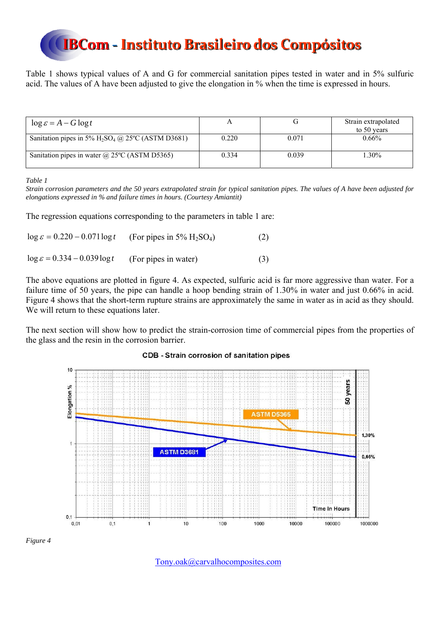Table 1 shows typical values of A and G for commercial sanitation pipes tested in water and in 5% sulfuric acid. The values of A have been adjusted to give the elongation in % when the time is expressed in hours.

| $\log \varepsilon = A - G \log t$                               |       |       | Strain extrapolated<br>to 50 years |
|-----------------------------------------------------------------|-------|-------|------------------------------------|
| Sanitation pipes in 5% $H_2SO_4$ ( <i>a</i> ) 25°C (ASTM D3681) | 0.220 | 0.071 | $0.66\%$                           |
| Sanitation pipes in water $\omega$ 25°C (ASTM D5365)            | 0.334 | 0.039 | $.30\%$                            |

*Table 1* 

*Strain corrosion parameters and the 50 years extrapolated strain for typical sanitation pipes. The values of A have been adjusted for elongations expressed in % and failure times in hours. (Courtesy Amiantit)* 

The regression equations corresponding to the parameters in table 1 are:

| $\log \varepsilon = 0.220 - 0.071 \log t$ | (For pipes in 5% $H_2SO_4$ ) | (2) |
|-------------------------------------------|------------------------------|-----|
| $\log \varepsilon = 0.334 - 0.039 \log t$ | (For pipes in water)         | (3) |

The above equations are plotted in figure 4. As expected, sulfuric acid is far more aggressive than water. For a failure time of 50 years, the pipe can handle a hoop bending strain of 1.30% in water and just 0.66% in acid. Figure 4 shows that the short-term rupture strains are approximately the same in water as in acid as they should. We will return to these equations later.

The next section will show how to predict the strain-corrosion time of commercial pipes from the properties of the glass and the resin in the corrosion barrier.



#### CDB - Strain corrosion of sanitation pipes

*Figure 4*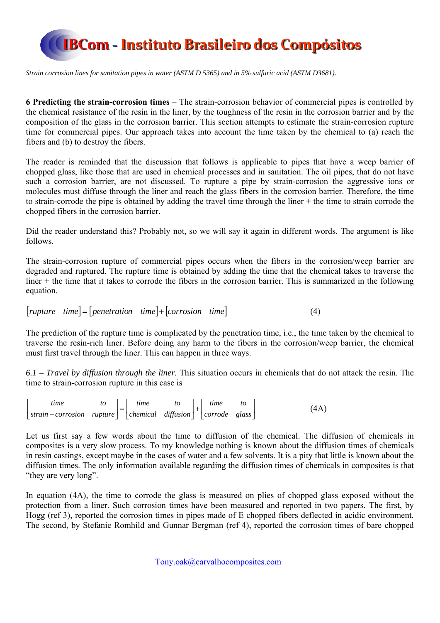

*Strain corrosion lines for sanitation pipes in water (ASTM D 5365) and in 5% sulfuric acid (ASTM D3681).*

**6 Predicting the strain-corrosion times** – The strain-corrosion behavior of commercial pipes is controlled by the chemical resistance of the resin in the liner, by the toughness of the resin in the corrosion barrier and by the composition of the glass in the corrosion barrier. This section attempts to estimate the strain-corrosion rupture time for commercial pipes. Our approach takes into account the time taken by the chemical to (a) reach the fibers and (b) to destroy the fibers.

The reader is reminded that the discussion that follows is applicable to pipes that have a weep barrier of chopped glass, like those that are used in chemical processes and in sanitation. The oil pipes, that do not have such a corrosion barrier, are not discussed. To rupture a pipe by strain-corrosion the aggressive ions or molecules must diffuse through the liner and reach the glass fibers in the corrosion barrier. Therefore, the time to strain-corrode the pipe is obtained by adding the travel time through the liner + the time to strain corrode the chopped fibers in the corrosion barrier.

Did the reader understand this? Probably not, so we will say it again in different words. The argument is like follows.

The strain-corrosion rupture of commercial pipes occurs when the fibers in the corrosion/weep barrier are degraded and ruptured. The rupture time is obtained by adding the time that the chemical takes to traverse the liner + the time that it takes to corrode the fibers in the corrosion barrier. This is summarized in the following equation.

 $[rupture-time] = [penetration-time] + [corrosion time]$  (4)

The prediction of the rupture time is complicated by the penetration time, i.e., the time taken by the chemical to traverse the resin-rich liner. Before doing any harm to the fibers in the corrosion/weep barrier, the chemical must first travel through the liner. This can happen in three ways.

*6.1 – Travel by diffusion through the liner.* This situation occurs in chemicals that do not attack the resin. The time to strain-corrosion rupture in this case is

| tıme                                                                                | time | to | time | (4A) |
|-------------------------------------------------------------------------------------|------|----|------|------|
| $\vert$ strain – corrosion rupture $\vert$ chemical diffusion $\vert$ corrode glass |      |    |      |      |

Let us first say a few words about the time to diffusion of the chemical. The diffusion of chemicals in composites is a very slow process. To my knowledge nothing is known about the diffusion times of chemicals in resin castings, except maybe in the cases of water and a few solvents. It is a pity that little is known about the diffusion times. The only information available regarding the diffusion times of chemicals in composites is that "they are very long".

In equation (4A), the time to corrode the glass is measured on plies of chopped glass exposed without the protection from a liner. Such corrosion times have been measured and reported in two papers. The first, by Hogg (ref 3), reported the corrosion times in pipes made of E chopped fibers deflected in acidic environment. The second, by Stefanie Romhild and Gunnar Bergman (ref 4), reported the corrosion times of bare chopped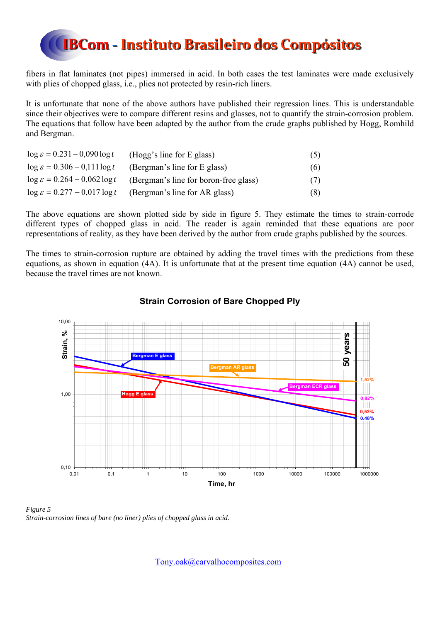fibers in flat laminates (not pipes) immersed in acid. In both cases the test laminates were made exclusively with plies of chopped glass, *i.e.*, plies not protected by resin-rich liners.

It is unfortunate that none of the above authors have published their regression lines. This is understandable since their objectives were to compare different resins and glasses, not to quantify the strain-corrosion problem. The equations that follow have been adapted by the author from the crude graphs published by Hogg, Romhild and Bergman.

| $\log \varepsilon = 0.231 - 0.090 \log t$ | (Hogg's line for E glass)             | (5) |
|-------------------------------------------|---------------------------------------|-----|
| $\log \varepsilon = 0.306 - 0.111 \log t$ | (Bergman's line for E glass)          | (6) |
| $\log \varepsilon = 0.264 - 0.062 \log t$ | (Bergman's line for boron-free glass) | (7) |
| $\log \varepsilon = 0.277 - 0.017 \log t$ | (Bergman's line for AR glass)         | (8) |

The above equations are shown plotted side by side in figure 5. They estimate the times to strain-corrode different types of chopped glass in acid. The reader is again reminded that these equations are poor representations of reality, as they have been derived by the author from crude graphs published by the sources.

The times to strain-corrosion rupture are obtained by adding the travel times with the predictions from these equations, as shown in equation (4A). It is unfortunate that at the present time equation (4A) cannot be used. because the travel times are not known.



#### **Strain Corrosion of Bare Chopped Ply**

*Figure 5 Strain-corrosion lines of bare (no liner) plies of chopped glass in acid.*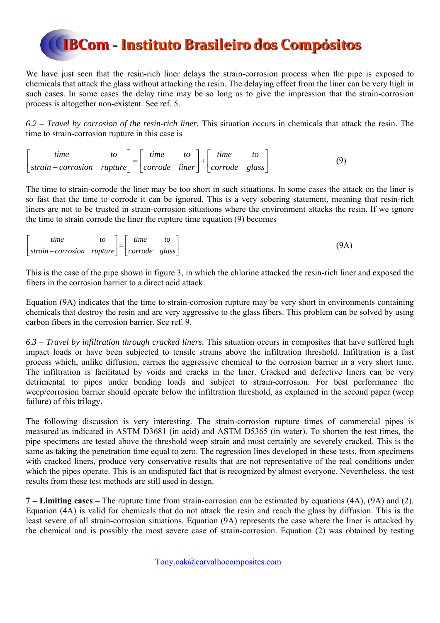We have just seen that the resin-rich liner delays the strain-corrosion process when the pipe is exposed to chemicals that attack the glass without attacking the resin. The delaying effect from the liner can be very high in such cases. In some cases the delay time may be so long as to give the impression that the strain-corrosion process is altogether non-existent. See ref. 5.

*6.2 – Travel by corrosion of the resin-rich liner.* This situation occurs in chemicals that attack the resin. The time to strain-corrosion rupture in this case is

  $\overline{\phantom{a}}$  $\begin{vmatrix} time & to \\ overode & class \end{vmatrix}$ L  $\left| + \right|$  $\frac{1}{2}$  $\begin{vmatrix} time & to \\ overode & linear \end{vmatrix}$ L  $\frac{1}{2}$  $\begin{vmatrix}\n \text{time} & \text{to} \\
\text{strain} & \text{correction} & \text{wurture}\n \end{vmatrix}$ L  $\mathbf{r}$  $-$ *corrosion* rupture | corrode liner | corrode glass *time to corrode liner time to strain corrosion rupture time to* (9)

The time to strain-corrode the liner may be too short in such situations. In some cases the attack on the liner is so fast that the time to corrode it can be ignored. This is a very sobering statement, meaning that resin-rich liners are not to be trusted in strain-corrosion situations where the environment attacks the resin. If we ignore the time to strain corrode the liner the rupture time equation (9) becomes

| tıme                                          |  | time | (9A) |
|-----------------------------------------------|--|------|------|
| $ strain-corrosion11 = 1$ $ corrode2 1 1 = 1$ |  |      |      |

This is the case of the pipe shown in figure 3, in which the chlorine attacked the resin-rich liner and exposed the fibers in the corrosion barrier to a direct acid attack.

Equation (9A) indicates that the time to strain-corrosion rupture may be very short in environments containing chemicals that destroy the resin and are very aggressive to the glass fibers. This problem can be solved by using carbon fibers in the corrosion barrier. See ref. 9.

*6.3 – Travel by infiltration through cracked liners*. This situation occurs in composites that have suffered high impact loads or have been subjected to tensile strains above the infiltration threshold. Infiltration is a fast process which, unlike diffusion, carries the aggressive chemical to the corrosion barrier in a very short time. The infiltration is facilitated by voids and cracks in the liner. Cracked and defective liners can be very detrimental to pipes under bending loads and subject to strain-corrosion. For best performance the weep/corrosion barrier should operate below the infiltration threshold, as explained in the second paper (weep failure) of this trilogy.

The following discussion is very interesting. The strain-corrosion rupture times of commercial pipes is measured as indicated in ASTM D3681 (in acid) and ASTM D5365 (in water). To shorten the test times, the pipe specimens are tested above the threshold weep strain and most certainly are severely cracked. This is the same as taking the penetration time equal to zero. The regression lines developed in these tests, from specimens with cracked liners, produce very conservative results that are not representative of the real conditions under which the pipes operate. This is an undisputed fact that is recognized by almost everyone. Nevertheless, the test results from these test methods are still used in design.

**7 – Limiting cases –** The rupture time from strain-corrosion can be estimated by equations (4A), (9A) and (2). Equation (4A) is valid for chemicals that do not attack the resin and reach the glass by diffusion. This is the least severe of all strain-corrosion situations. Equation (9A) represents the case where the liner is attacked by the chemical and is possibly the most severe case of strain-corrosion. Equation (2) was obtained by testing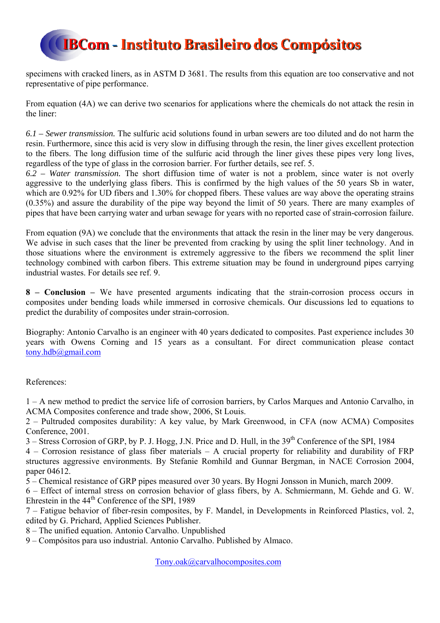specimens with cracked liners, as in ASTM D 3681. The results from this equation are too conservative and not representative of pipe performance.

From equation (4A) we can derive two scenarios for applications where the chemicals do not attack the resin in the liner:

*6.1 – Sewer transmission.* The sulfuric acid solutions found in urban sewers are too diluted and do not harm the resin. Furthermore, since this acid is very slow in diffusing through the resin, the liner gives excellent protection to the fibers. The long diffusion time of the sulfuric acid through the liner gives these pipes very long lives, regardless of the type of glass in the corrosion barrier. For further details, see ref. 5.

*6.2 – Water transmission.* The short diffusion time of water is not a problem, since water is not overly aggressive to the underlying glass fibers. This is confirmed by the high values of the 50 years Sb in water, which are 0.92% for UD fibers and 1.30% for chopped fibers. These values are way above the operating strains (0.35%) and assure the durability of the pipe way beyond the limit of 50 years. There are many examples of pipes that have been carrying water and urban sewage for years with no reported case of strain-corrosion failure.

From equation (9A) we conclude that the environments that attack the resin in the liner may be very dangerous. We advise in such cases that the liner be prevented from cracking by using the split liner technology. And in those situations where the environment is extremely aggressive to the fibers we recommend the split liner technology combined with carbon fibers. This extreme situation may be found in underground pipes carrying industrial wastes. For details see ref. 9.

**8 – Conclusion –** We have presented arguments indicating that the strain-corrosion process occurs in composites under bending loads while immersed in corrosive chemicals. Our discussions led to equations to predict the durability of composites under strain-corrosion.

Biography: Antonio Carvalho is an engineer with 40 years dedicated to composites. Past experience includes 30 years with Owens Corning and 15 years as a consultant. For direct communication please contact tony.hdb@gmail.com

References:

1 – A new method to predict the service life of corrosion barriers, by Carlos Marques and Antonio Carvalho, in ACMA Composites conference and trade show, 2006, St Louis.

2 – Pultruded composites durability: A key value, by Mark Greenwood, in CFA (now ACMA) Composites Conference, 2001.

3 – Stress Corrosion of GRP, by P. J. Hogg, J.N. Price and D. Hull, in the 39<sup>th</sup> Conference of the SPI, 1984

4 – Corrosion resistance of glass fiber materials – A crucial property for reliability and durability of FRP structures aggressive environments. By Stefanie Romhild and Gunnar Bergman, in NACE Corrosion 2004, paper 04612.

5 – Chemical resistance of GRP pipes measured over 30 years. By Hogni Jonsson in Munich, march 2009.

6 – Effect of internal stress on corrosion behavior of glass fibers, by A. Schmiermann, M. Gehde and G. W. Ehrestein in the  $44<sup>th</sup>$  Conference of the SPI, 1989

7 – Fatigue behavior of fiber-resin composites, by F. Mandel, in Developments in Reinforced Plastics, vol. 2, edited by G. Prichard, Applied Sciences Publisher.

8 – The unified equation. Antonio Carvalho. Unpublished

9 – Compósitos para uso industrial. Antonio Carvalho. Published by Almaco.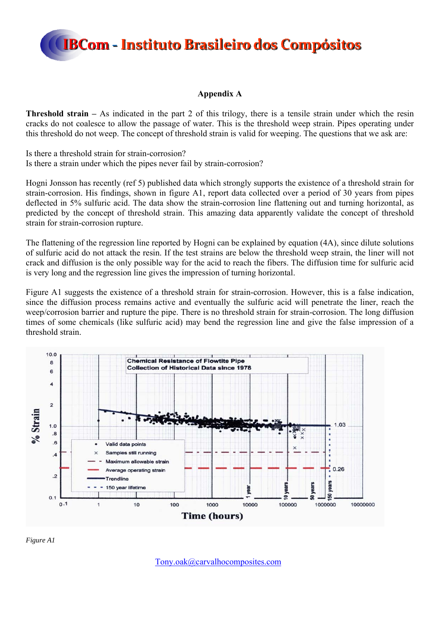

#### **Appendix A**

**Threshold strain –** As indicated in the part 2 of this trilogy, there is a tensile strain under which the resin cracks do not coalesce to allow the passage of water. This is the threshold weep strain. Pipes operating under this threshold do not weep. The concept of threshold strain is valid for weeping. The questions that we ask are:

Is there a threshold strain for strain-corrosion? Is there a strain under which the pipes never fail by strain-corrosion?

Hogni Jonsson has recently (ref 5) published data which strongly supports the existence of a threshold strain for strain-corrosion. His findings, shown in figure A1, report data collected over a period of 30 years from pipes deflected in 5% sulfuric acid. The data show the strain-corrosion line flattening out and turning horizontal, as predicted by the concept of threshold strain. This amazing data apparently validate the concept of threshold strain for strain-corrosion rupture.

The flattening of the regression line reported by Hogni can be explained by equation (4A), since dilute solutions of sulfuric acid do not attack the resin. If the test strains are below the threshold weep strain, the liner will not crack and diffusion is the only possible way for the acid to reach the fibers. The diffusion time for sulfuric acid is very long and the regression line gives the impression of turning horizontal.

Figure A1 suggests the existence of a threshold strain for strain-corrosion. However, this is a false indication, since the diffusion process remains active and eventually the sulfuric acid will penetrate the liner, reach the weep/corrosion barrier and rupture the pipe. There is no threshold strain for strain-corrosion. The long diffusion times of some chemicals (like sulfuric acid) may bend the regression line and give the false impression of a threshold strain.



*Figure A1*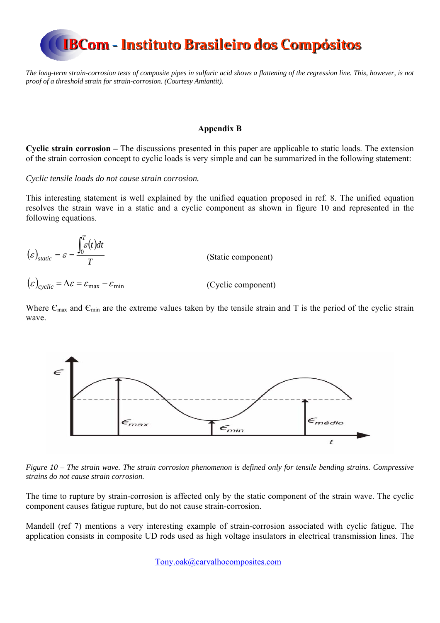

*The long-term strain-corrosion tests of composite pipes in sulfuric acid shows a flattening of the regression line. This, however, is not proof of a threshold strain for strain-corrosion. (Courtesy Amiantit).* 

#### **Appendix B**

**Cyclic strain corrosion –** The discussions presented in this paper are applicable to static loads. The extension of the strain corrosion concept to cyclic loads is very simple and can be summarized in the following statement:

*Cyclic tensile loads do not cause strain corrosion.* 

This interesting statement is well explained by the unified equation proposed in ref. 8. The unified equation resolves the strain wave in a static and a cyclic component as shown in figure 10 and represented in the following equations.

 $(\varepsilon)_{static} = \varepsilon = \frac{\int_{0} \varepsilon(t)}{2}$ *T*  $\int_{\mathcal{E}}^{T} (t) dt$  $_{static} = \varepsilon = \frac{\int_0^2 \varepsilon}{\sqrt{\frac{\varepsilon}{c}}}$  $\mathcal{E}_{static} = \mathcal{E} = \frac{V}{T}$  (Static component)  $(\varepsilon)_{cyclic} = \Delta \varepsilon = \varepsilon_{max} - \varepsilon_{min}$  (Cyclic component)

Where  $\epsilon_{\text{max}}$  and  $\epsilon_{\text{min}}$  are the extreme values taken by the tensile strain and T is the period of the cyclic strain wave.



*Figure 10 – The strain wave. The strain corrosion phenomenon is defined only for tensile bending strains. Compressive strains do not cause strain corrosion.* 

The time to rupture by strain-corrosion is affected only by the static component of the strain wave. The cyclic component causes fatigue rupture, but do not cause strain-corrosion.

Mandell (ref 7) mentions a very interesting example of strain-corrosion associated with cyclic fatigue. The application consists in composite UD rods used as high voltage insulators in electrical transmission lines. The